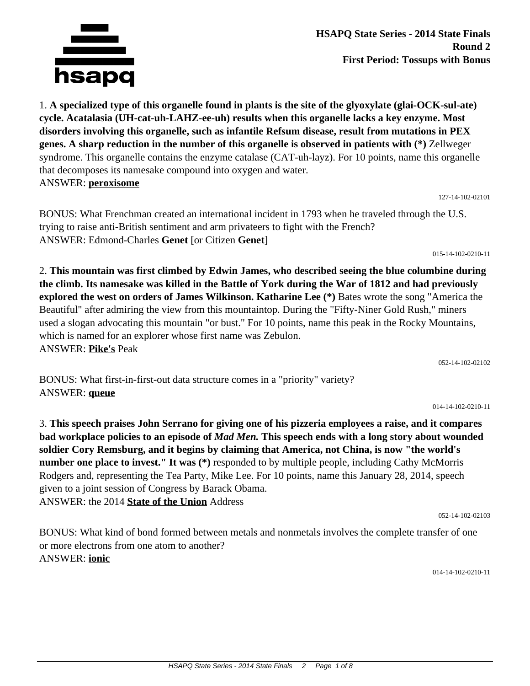

which is named for an explorer whose first name was Zebulon. ANSWER: **Pike's** Peak

BONUS: What first-in-first-out data structure comes in a "priority" variety? ANSWER: **queue**

3. **This speech praises John Serrano for giving one of his pizzeria employees a raise, and it compares bad workplace policies to an episode of** *Mad Men.* **This speech ends with a long story about wounded soldier Cory Remsburg, and it begins by claiming that America, not China, is now "the world's number one place to invest." It was (\*)** responded to by multiple people, including Cathy McMorris Rodgers and, representing the Tea Party, Mike Lee. For 10 points, name this January 28, 2014, speech given to a joint session of Congress by Barack Obama. ANSWER: the 2014 **State of the Union** Address

BONUS: What kind of bond formed between metals and nonmetals involves the complete transfer of one or more electrons from one atom to another? ANSWER: **ionic**

014-14-102-0210-11

**cycle. Acatalasia (UH-cat-uh-LAHZ-ee-uh) results when this organelle lacks a key enzyme. Most disorders involving this organelle, such as infantile Refsum disease, result from mutations in PEX genes. A sharp reduction in the number of this organelle is observed in patients with (\*)** Zellweger syndrome. This organelle contains the enzyme catalase (CAT-uh-layz). For 10 points, name this organelle that decomposes its namesake compound into oxygen and water. ANSWER: **peroxisome** 127-14-102-02101

1. **A specialized type of this organelle found in plants is the site of the glyoxylate (glai-OCK-sul-ate)**

BONUS: What Frenchman created an international incident in 1793 when he traveled through the U.S. trying to raise anti-British sentiment and arm privateers to fight with the French? ANSWER: Edmond-Charles **Genet** [or Citizen **Genet**]

2. **This mountain was first climbed by Edwin James, who described seeing the blue columbine during the climb. Its namesake was killed in the Battle of York during the War of 1812 and had previously**

015-14-102-0210-11

014-14-102-0210-11



052-14-102-02102

052-14-102-02103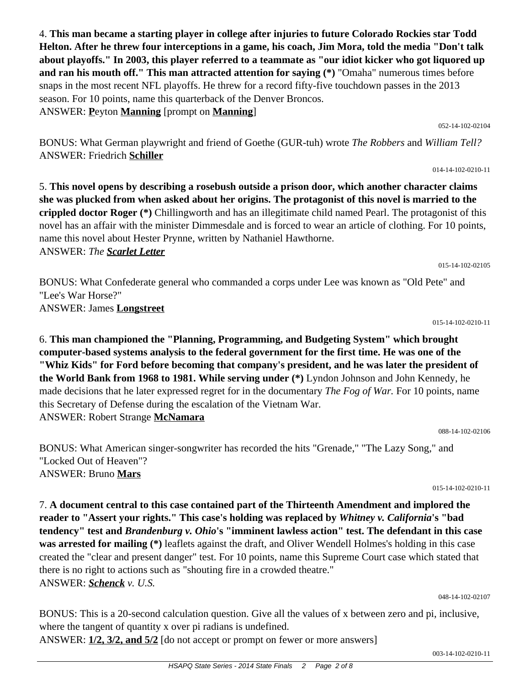4. **This man became a starting player in college after injuries to future Colorado Rockies star Todd Helton. After he threw four interceptions in a game, his coach, Jim Mora, told the media "Don't talk about playoffs." In 2003, this player referred to a teammate as "our idiot kicker who got liquored up and ran his mouth off." This man attracted attention for saying (\*)** "Omaha" numerous times before snaps in the most recent NFL playoffs. He threw for a record fifty-five touchdown passes in the 2013 season. For 10 points, name this quarterback of the Denver Broncos. ANSWER: **P**eyton **Manning** [prompt on **Manning**]

BONUS: What German playwright and friend of Goethe (GUR-tuh) wrote *The Robbers* and *William Tell?* ANSWER: Friedrich **Schiller**

5. **This novel opens by describing a rosebush outside a prison door, which another character claims she was plucked from when asked about her origins. The protagonist of this novel is married to the crippled doctor Roger (\*)** Chillingworth and has an illegitimate child named Pearl. The protagonist of this novel has an affair with the minister Dimmesdale and is forced to wear an article of clothing. For 10 points, name this novel about Hester Prynne, written by Nathaniel Hawthorne. ANSWER: *The Scarlet Letter*

BONUS: What Confederate general who commanded a corps under Lee was known as "Old Pete" and "Lee's War Horse?" ANSWER: James **Longstreet**

015-14-102-0210-11 6. **This man championed the "Planning, Programming, and Budgeting System" which brought computer-based systems analysis to the federal government for the first time. He was one of the "Whiz Kids" for Ford before becoming that company's president, and he was later the president of the World Bank from 1968 to 1981. While serving under (\*)** Lyndon Johnson and John Kennedy, he made decisions that he later expressed regret for in the documentary *The Fog of War.* For 10 points, name this Secretary of Defense during the escalation of the Vietnam War.

BONUS: What American singer-songwriter has recorded the hits "Grenade," "The Lazy Song," and "Locked Out of Heaven"?

ANSWER: Robert Strange **McNamara**

ANSWER: Bruno **Mars**

7. **A document central to this case contained part of the Thirteenth Amendment and implored the reader to "Assert your rights." This case's holding was replaced by** *Whitney v. California***'s "bad tendency" test and** *Brandenburg v. Ohio***'s "imminent lawless action" test. The defendant in this case was arrested for mailing (\*)** leaflets against the draft, and Oliver Wendell Holmes's holding in this case created the "clear and present danger" test. For 10 points, name this Supreme Court case which stated that there is no right to actions such as "shouting fire in a crowded theatre." ANSWER: *Schenck v. U.S.*

048-14-102-02107

BONUS: This is a 20-second calculation question. Give all the values of x between zero and pi, inclusive, where the tangent of quantity x over pi radians is undefined.

ANSWER: **1/2, 3/2, and 5/2** [do not accept or prompt on fewer or more answers]

015-14-102-02105

015-14-102-0210-11

088-14-102-02106

014-14-102-0210-11

052-14-102-02104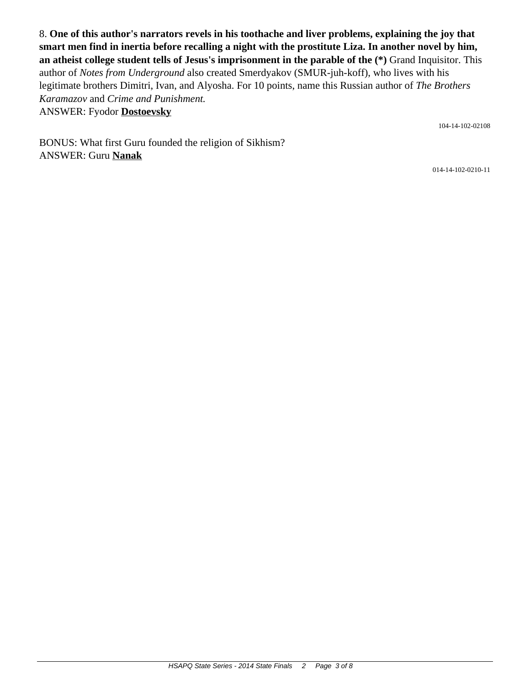8. **One of this author's narrators revels in his toothache and liver problems, explaining the joy that smart men find in inertia before recalling a night with the prostitute Liza. In another novel by him, an atheist college student tells of Jesus's imprisonment in the parable of the (\*)** Grand Inquisitor. This author of *Notes from Underground* also created Smerdyakov (SMUR-juh-koff), who lives with his legitimate brothers Dimitri, Ivan, and Alyosha. For 10 points, name this Russian author of *The Brothers Karamazov* and *Crime and Punishment.* ANSWER: Fyodor **Dostoevsky**

104-14-102-02108

BONUS: What first Guru founded the religion of Sikhism? ANSWER: Guru **Nanak**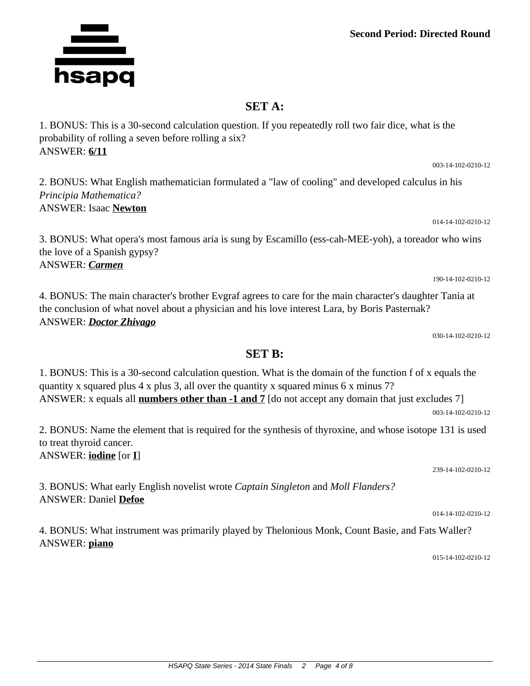## **Second Period: Directed Round**

## **SET A:**

1. BONUS: This is a 30-second calculation question. If you repeatedly roll two fair dice, what is the probability of rolling a seven before rolling a six? ANSWER: **6/11**

2. BONUS: What English mathematician formulated a "law of cooling" and developed calculus in his *Principia Mathematica?* ANSWER: Isaac **Newton**

3. BONUS: What opera's most famous aria is sung by Escamillo (ess-cah-MEE-yoh), a toreador who wins the love of a Spanish gypsy? ANSWER: *Carmen*

4. BONUS: The main character's brother Evgraf agrees to care for the main character's daughter Tania at the conclusion of what novel about a physician and his love interest Lara, by Boris Pasternak? ANSWER: *Doctor Zhivago*

030-14-102-0210-12

190-14-102-0210-12

## **SET B:**

1. BONUS: This is a 30-second calculation question. What is the domain of the function f of x equals the quantity x squared plus 4 x plus 3, all over the quantity x squared minus 6 x minus 7? ANSWER: x equals all **numbers other than -1 and 7** [do not accept any domain that just excludes 7] 003-14-102-0210-12

2. BONUS: Name the element that is required for the synthesis of thyroxine, and whose isotope 131 is used to treat thyroid cancer.

ANSWER: **iodine** [or **I**]

3. BONUS: What early English novelist wrote *Captain Singleton* and *Moll Flanders?* ANSWER: Daniel **Defoe**

4. BONUS: What instrument was primarily played by Thelonious Monk, Count Basie, and Fats Waller? ANSWER: **piano**

015-14-102-0210-12



003-14-102-0210-12

014-14-102-0210-12

014-14-102-0210-12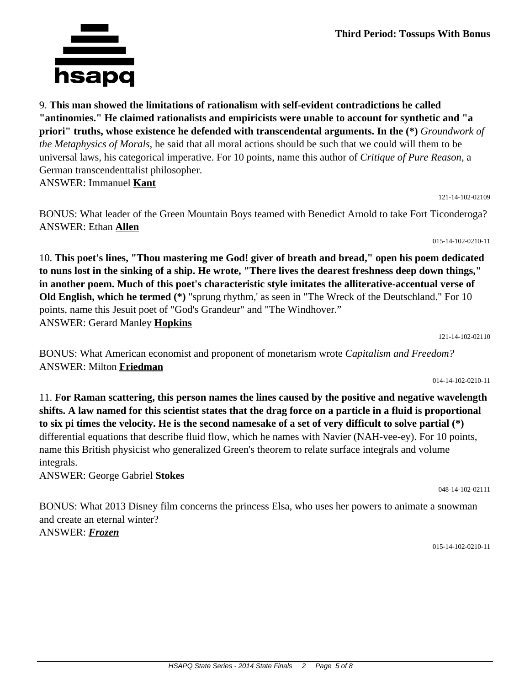9. **This man showed the limitations of rationalism with self-evident contradictions he called "antinomies." He claimed rationalists and empiricists were unable to account for synthetic and "a priori" truths, whose existence he defended with transcendental arguments. In the (\*)** *Groundwork of the Metaphysics of Morals,* he said that all moral actions should be such that we could will them to be universal laws, his categorical imperative. For 10 points, name this author of *Critique of Pure Reason,* a German transcendenttalist philosopher. ANSWER: Immanuel **Kant**

121-14-102-02109

BONUS: What leader of the Green Mountain Boys teamed with Benedict Arnold to take Fort Ticonderoga? ANSWER: Ethan **Allen**

015-14-102-0210-11

10. **This poet's lines, "Thou mastering me God! giver of breath and bread," open his poem dedicated to nuns lost in the sinking of a ship. He wrote, "There lives the dearest freshness deep down things," in another poem. Much of this poet's characteristic style imitates the alliterative-accentual verse of Old English, which he termed (\*)** "sprung rhythm,' as seen in "The Wreck of the Deutschland." For 10 points, name this Jesuit poet of "God's Grandeur" and "The Windhover." ANSWER: Gerard Manley **Hopkins**

BONUS: What American economist and proponent of monetarism wrote *Capitalism and Freedom?* ANSWER: Milton **Friedman**

014-14-102-0210-11

121-14-102-02110

11. **For Raman scattering, this person names the lines caused by the positive and negative wavelength shifts. A law named for this scientist states that the drag force on a particle in a fluid is proportional to six pi times the velocity. He is the second namesake of a set of very difficult to solve partial (\*)** differential equations that describe fluid flow, which he names with Navier (NAH-vee-ey). For 10 points, name this British physicist who generalized Green's theorem to relate surface integrals and volume integrals.

ANSWER: George Gabriel **Stokes**

BONUS: What 2013 Disney film concerns the princess Elsa, who uses her powers to animate a snowman and create an eternal winter? ANSWER: *Frozen*

015-14-102-0210-11

048-14-102-02111

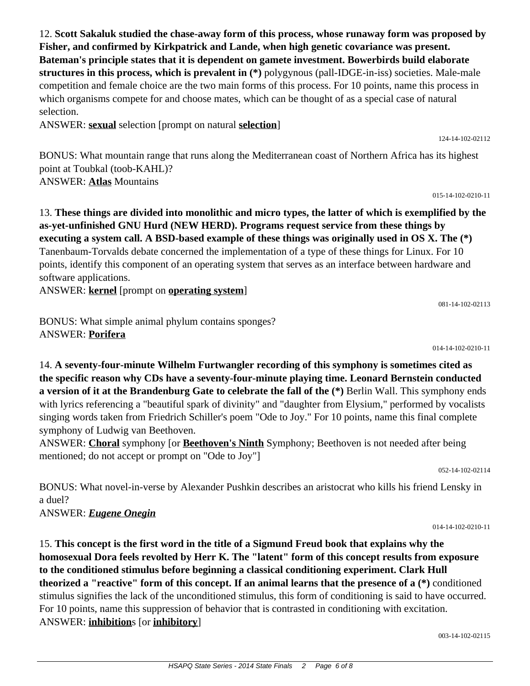12. **Scott Sakaluk studied the chase-away form of this process, whose runaway form was proposed by Fisher, and confirmed by Kirkpatrick and Lande, when high genetic covariance was present. Bateman's principle states that it is dependent on gamete investment. Bowerbirds build elaborate structures in this process, which is prevalent in (\*)** polygynous (pall-IDGE-in-iss) societies. Male-male competition and female choice are the two main forms of this process. For 10 points, name this process in which organisms compete for and choose mates, which can be thought of as a special case of natural selection.

ANSWER: **sexual** selection [prompt on natural **selection**]

BONUS: What mountain range that runs along the Mediterranean coast of Northern Africa has its highest point at Toubkal (toob-KAHL)? ANSWER: **Atlas** Mountains

13. **These things are divided into monolithic and micro types, the latter of which is exemplified by the as-yet-unfinished GNU Hurd (NEW HERD). Programs request service from these things by executing a system call. A BSD-based example of these things was originally used in OS X. The (\*)** Tanenbaum-Torvalds debate concerned the implementation of a type of these things for Linux. For 10 points, identify this component of an operating system that serves as an interface between hardware and software applications.

ANSWER: **kernel** [prompt on **operating system**]

BONUS: What simple animal phylum contains sponges? ANSWER: **Porifera**

14. **A seventy-four-minute Wilhelm Furtwangler recording of this symphony is sometimes cited as the specific reason why CDs have a seventy-four-minute playing time. Leonard Bernstein conducted a version of it at the Brandenburg Gate to celebrate the fall of the (\*)** Berlin Wall. This symphony ends with lyrics referencing a "beautiful spark of divinity" and "daughter from Elysium," performed by vocalists singing words taken from Friedrich Schiller's poem "Ode to Joy." For 10 points, name this final complete symphony of Ludwig van Beethoven.

ANSWER: **Choral** symphony [or **Beethoven's Ninth** Symphony; Beethoven is not needed after being mentioned; do not accept or prompt on "Ode to Joy"]

052-14-102-02114

BONUS: What novel-in-verse by Alexander Pushkin describes an aristocrat who kills his friend Lensky in a duel?

ANSWER: *Eugene Onegin*

15. **This concept is the first word in the title of a Sigmund Freud book that explains why the homosexual Dora feels revolted by Herr K. The "latent" form of this concept results from exposure to the conditioned stimulus before beginning a classical conditioning experiment. Clark Hull theorized a "reactive" form of this concept. If an animal learns that the presence of a (\*)** conditioned stimulus signifies the lack of the unconditioned stimulus, this form of conditioning is said to have occurred. For 10 points, name this suppression of behavior that is contrasted in conditioning with excitation. ANSWER: **inhibition**s [or **inhibitory**]

003-14-102-02115

014-14-102-0210-11

081-14-102-02113

124-14-102-02112

015-14-102-0210-11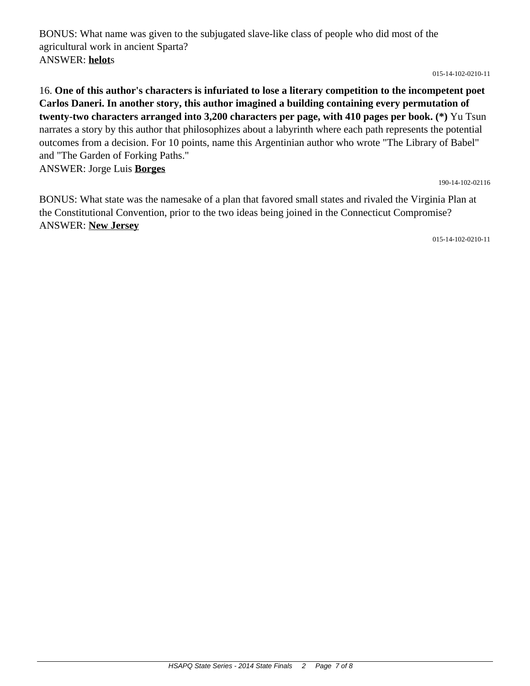BONUS: What name was given to the subjugated slave-like class of people who did most of the agricultural work in ancient Sparta? ANSWER: **helot**s

015-14-102-0210-11

16. **One of this author's characters is infuriated to lose a literary competition to the incompetent poet Carlos Daneri. In another story, this author imagined a building containing every permutation of twenty-two characters arranged into 3,200 characters per page, with 410 pages per book. (\*)** Yu Tsun narrates a story by this author that philosophizes about a labyrinth where each path represents the potential outcomes from a decision. For 10 points, name this Argentinian author who wrote "The Library of Babel" and "The Garden of Forking Paths." ANSWER: Jorge Luis **Borges**

190-14-102-02116

BONUS: What state was the namesake of a plan that favored small states and rivaled the Virginia Plan at the Constitutional Convention, prior to the two ideas being joined in the Connecticut Compromise? ANSWER: **New Jersey**